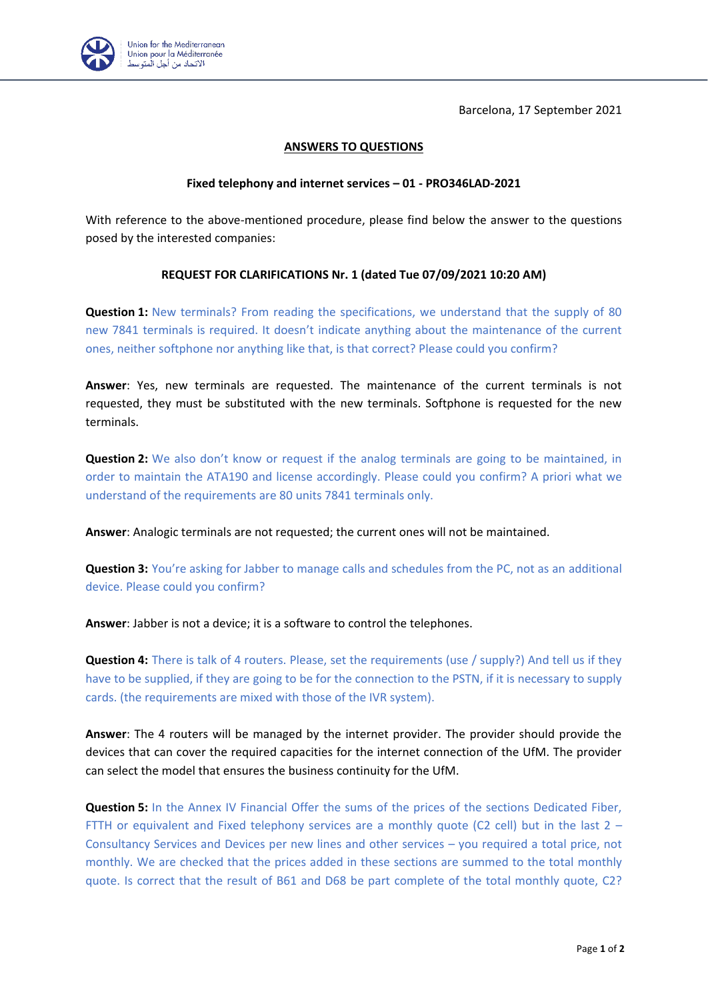Barcelona, 17 September 2021



## **ANSWERS TO QUESTIONS**

## **Fixed telephony and internet services – 01 - PRO346LAD-2021**

With reference to the above-mentioned procedure, please find below the answer to the questions posed by the interested companies:

## **REQUEST FOR CLARIFICATIONS Nr. 1 (dated Tue 07/09/2021 10:20 AM)**

**Question 1:** New terminals? From reading the specifications, we understand that the supply of 80 new 7841 terminals is required. It doesn't indicate anything about the maintenance of the current ones, neither softphone nor anything like that, is that correct? Please could you confirm?

**Answer**: Yes, new terminals are requested. The maintenance of the current terminals is not requested, they must be substituted with the new terminals. Softphone is requested for the new terminals.

**Question 2:** We also don't know or request if the analog terminals are going to be maintained, in order to maintain the ATA190 and license accordingly. Please could you confirm? A priori what we understand of the requirements are 80 units 7841 terminals only.

**Answer**: Analogic terminals are not requested; the current ones will not be maintained.

**Question 3:** You're asking for Jabber to manage calls and schedules from the PC, not as an additional device. Please could you confirm?

**Answer**: Jabber is not a device; it is a software to control the telephones.

**Question 4:** There is talk of 4 routers. Please, set the requirements (use / supply?) And tell us if they have to be supplied, if they are going to be for the connection to the PSTN, if it is necessary to supply cards. (the requirements are mixed with those of the IVR system).

**Answer**: The 4 routers will be managed by the internet provider. The provider should provide the devices that can cover the required capacities for the internet connection of the UfM. The provider can select the model that ensures the business continuity for the UfM.

**Question 5:** In the Annex IV Financial Offer the sums of the prices of the sections Dedicated Fiber, FTTH or equivalent and Fixed telephony services are a monthly quote (C2 cell) but in the last  $2 -$ Consultancy Services and Devices per new lines and other services – you required a total price, not monthly. We are checked that the prices added in these sections are summed to the total monthly quote. Is correct that the result of B61 and D68 be part complete of the total monthly quote, C2?